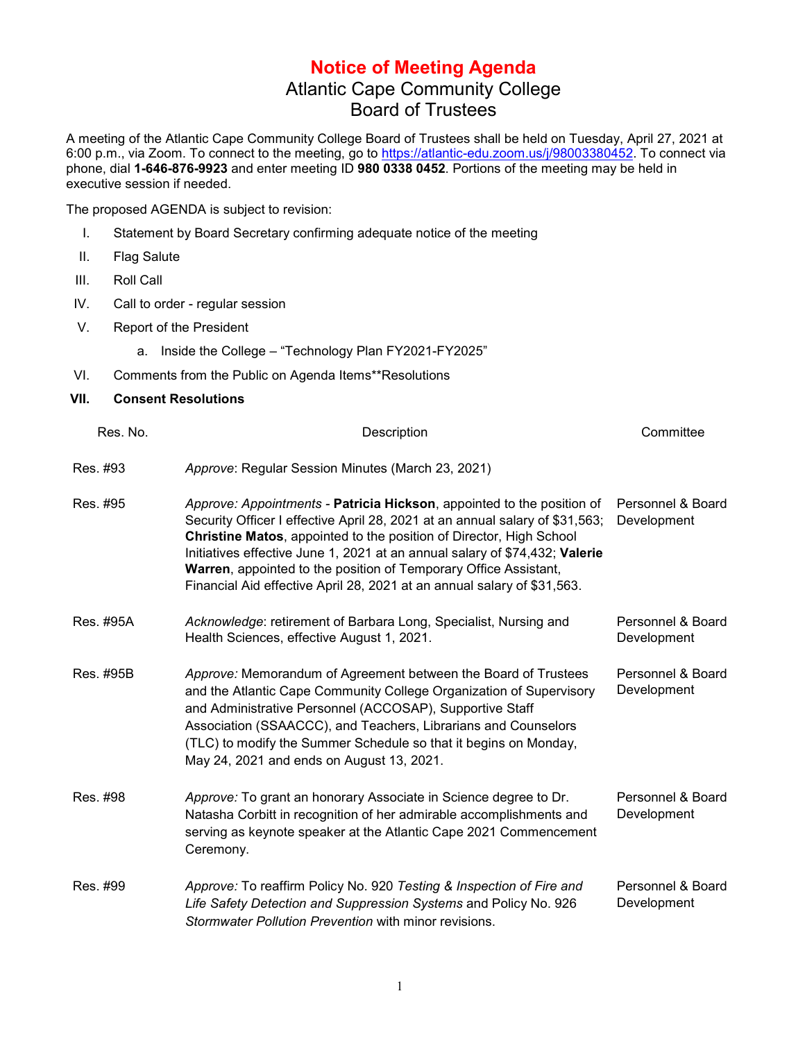## **Notice of Meeting Agenda** Atlantic Cape Community College Board of Trustees

A meeting of the Atlantic Cape Community College Board of Trustees shall be held on Tuesday, April 27, 2021 at 6:00 p.m., via Zoom. To connect to the meeting, go to [https://atlantic-edu.zoom.us/j/98003380452.](https://atlantic-edu.zoom.us/j/98003380452) To connect via phone, dial **1-646-876-9923** and enter meeting ID **980 0338 0452**. Portions of the meeting may be held in executive session if needed.

The proposed AGENDA is subject to revision:

- I. Statement by Board Secretary confirming adequate notice of the meeting
- II. Flag Salute
- III. Roll Call
- IV. Call to order regular session
- V. Report of the President

a. Inside the College – "Technology Plan FY2021-FY2025"

VI. Comments from the Public on Agenda Items\*\*Resolutions

## **VII. Consent Resolutions**

| Res. No.  | Description                                                                                                                                                                                                                                                                                                                                                                                                                                                 | Committee                        |
|-----------|-------------------------------------------------------------------------------------------------------------------------------------------------------------------------------------------------------------------------------------------------------------------------------------------------------------------------------------------------------------------------------------------------------------------------------------------------------------|----------------------------------|
| Res. #93  | Approve: Regular Session Minutes (March 23, 2021)                                                                                                                                                                                                                                                                                                                                                                                                           |                                  |
| Res. #95  | Approve: Appointments - Patricia Hickson, appointed to the position of<br>Security Officer I effective April 28, 2021 at an annual salary of \$31,563;<br>Christine Matos, appointed to the position of Director, High School<br>Initiatives effective June 1, 2021 at an annual salary of \$74,432; Valerie<br>Warren, appointed to the position of Temporary Office Assistant,<br>Financial Aid effective April 28, 2021 at an annual salary of \$31,563. | Personnel & Board<br>Development |
| Res. #95A | Acknowledge: retirement of Barbara Long, Specialist, Nursing and<br>Health Sciences, effective August 1, 2021.                                                                                                                                                                                                                                                                                                                                              | Personnel & Board<br>Development |
| Res. #95B | Approve: Memorandum of Agreement between the Board of Trustees<br>and the Atlantic Cape Community College Organization of Supervisory<br>and Administrative Personnel (ACCOSAP), Supportive Staff<br>Association (SSAACCC), and Teachers, Librarians and Counselors<br>(TLC) to modify the Summer Schedule so that it begins on Monday,<br>May 24, 2021 and ends on August 13, 2021.                                                                        | Personnel & Board<br>Development |
| Res. #98  | Approve: To grant an honorary Associate in Science degree to Dr.<br>Natasha Corbitt in recognition of her admirable accomplishments and<br>serving as keynote speaker at the Atlantic Cape 2021 Commencement<br>Ceremony.                                                                                                                                                                                                                                   | Personnel & Board<br>Development |
| Res. #99  | Approve: To reaffirm Policy No. 920 Testing & Inspection of Fire and<br>Life Safety Detection and Suppression Systems and Policy No. 926<br>Stormwater Pollution Prevention with minor revisions.                                                                                                                                                                                                                                                           | Personnel & Board<br>Development |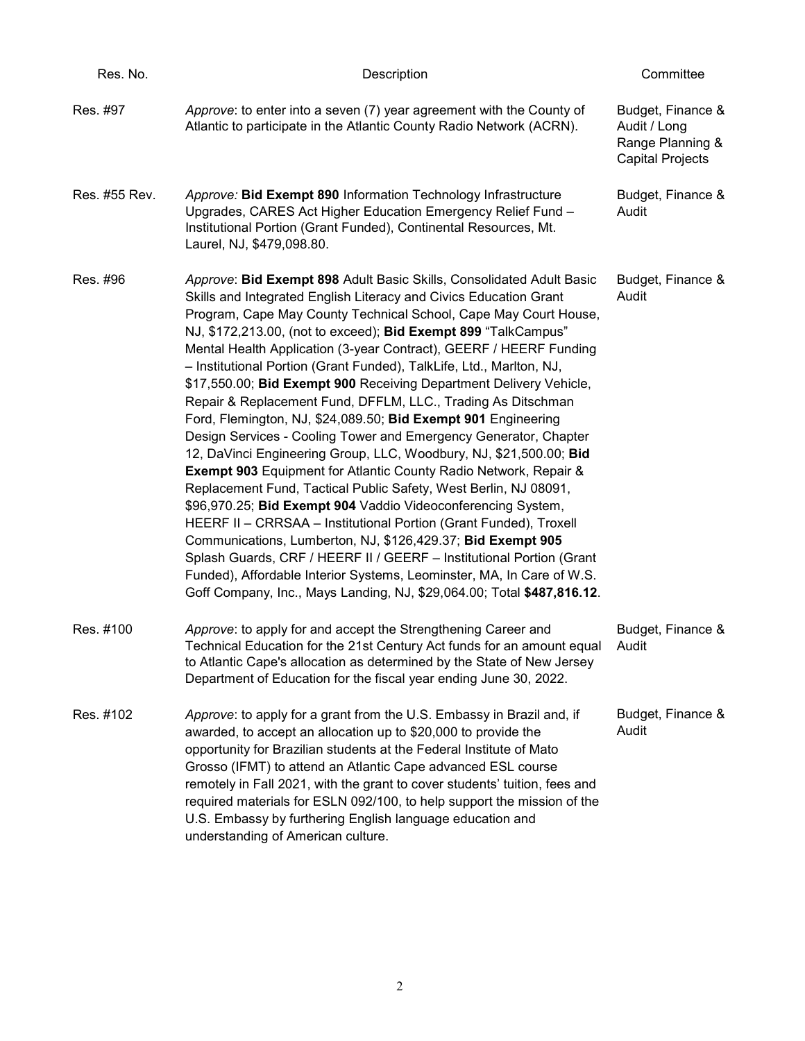| Res. No.      | Description                                                                                                                                                                                                                                                                                                                                                                                                                                                                                                                                                                                                                                                                                                                                                                                                                                                                                                                                                                                                                                                                                                                                                                                                                                                                                                                                                      | Committee                                                                        |
|---------------|------------------------------------------------------------------------------------------------------------------------------------------------------------------------------------------------------------------------------------------------------------------------------------------------------------------------------------------------------------------------------------------------------------------------------------------------------------------------------------------------------------------------------------------------------------------------------------------------------------------------------------------------------------------------------------------------------------------------------------------------------------------------------------------------------------------------------------------------------------------------------------------------------------------------------------------------------------------------------------------------------------------------------------------------------------------------------------------------------------------------------------------------------------------------------------------------------------------------------------------------------------------------------------------------------------------------------------------------------------------|----------------------------------------------------------------------------------|
| Res. #97      | Approve: to enter into a seven (7) year agreement with the County of<br>Atlantic to participate in the Atlantic County Radio Network (ACRN).                                                                                                                                                                                                                                                                                                                                                                                                                                                                                                                                                                                                                                                                                                                                                                                                                                                                                                                                                                                                                                                                                                                                                                                                                     | Budget, Finance &<br>Audit / Long<br>Range Planning &<br><b>Capital Projects</b> |
| Res. #55 Rev. | Approve: Bid Exempt 890 Information Technology Infrastructure<br>Upgrades, CARES Act Higher Education Emergency Relief Fund -<br>Institutional Portion (Grant Funded), Continental Resources, Mt.<br>Laurel, NJ, \$479,098.80.                                                                                                                                                                                                                                                                                                                                                                                                                                                                                                                                                                                                                                                                                                                                                                                                                                                                                                                                                                                                                                                                                                                                   | Budget, Finance &<br>Audit                                                       |
| Res. #96      | Approve: Bid Exempt 898 Adult Basic Skills, Consolidated Adult Basic<br>Skills and Integrated English Literacy and Civics Education Grant<br>Program, Cape May County Technical School, Cape May Court House,<br>NJ, \$172,213.00, (not to exceed); Bid Exempt 899 "TalkCampus"<br>Mental Health Application (3-year Contract), GEERF / HEERF Funding<br>- Institutional Portion (Grant Funded), TalkLife, Ltd., Marlton, NJ,<br>\$17,550.00; Bid Exempt 900 Receiving Department Delivery Vehicle,<br>Repair & Replacement Fund, DFFLM, LLC., Trading As Ditschman<br>Ford, Flemington, NJ, \$24,089.50; Bid Exempt 901 Engineering<br>Design Services - Cooling Tower and Emergency Generator, Chapter<br>12, DaVinci Engineering Group, LLC, Woodbury, NJ, \$21,500.00; Bid<br><b>Exempt 903 Equipment for Atlantic County Radio Network, Repair &amp;</b><br>Replacement Fund, Tactical Public Safety, West Berlin, NJ 08091,<br>\$96,970.25; Bid Exempt 904 Vaddio Videoconferencing System,<br>HEERF II - CRRSAA - Institutional Portion (Grant Funded), Troxell<br>Communications, Lumberton, NJ, \$126,429.37; Bid Exempt 905<br>Splash Guards, CRF / HEERF II / GEERF - Institutional Portion (Grant<br>Funded), Affordable Interior Systems, Leominster, MA, In Care of W.S.<br>Goff Company, Inc., Mays Landing, NJ, \$29,064.00; Total \$487,816.12. | Budget, Finance &<br>Audit                                                       |
| Res. #100     | Approve: to apply for and accept the Strengthening Career and<br>Technical Education for the 21st Century Act funds for an amount equal<br>to Atlantic Cape's allocation as determined by the State of New Jersey<br>Department of Education for the fiscal year ending June 30, 2022.                                                                                                                                                                                                                                                                                                                                                                                                                                                                                                                                                                                                                                                                                                                                                                                                                                                                                                                                                                                                                                                                           | Budget, Finance &<br>Audit                                                       |
| Res. #102     | Approve: to apply for a grant from the U.S. Embassy in Brazil and, if<br>awarded, to accept an allocation up to \$20,000 to provide the<br>opportunity for Brazilian students at the Federal Institute of Mato<br>Grosso (IFMT) to attend an Atlantic Cape advanced ESL course<br>remotely in Fall 2021, with the grant to cover students' tuition, fees and<br>required materials for ESLN 092/100, to help support the mission of the<br>U.S. Embassy by furthering English language education and<br>understanding of American culture.                                                                                                                                                                                                                                                                                                                                                                                                                                                                                                                                                                                                                                                                                                                                                                                                                       | Budget, Finance &<br>Audit                                                       |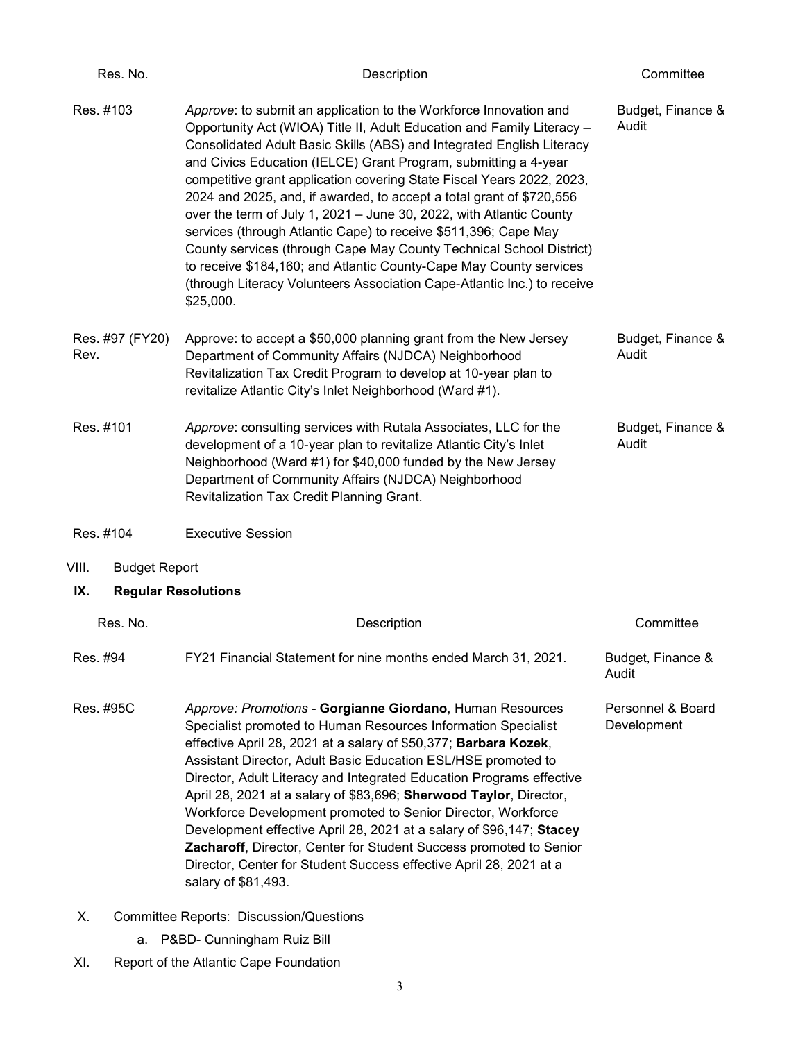| Res. No.                          | Description                                                                                                                                                                                                                                                                                                                                                                                                                                                                                                                                                                                                                                                                                                                                                                                                             | Committee                        |
|-----------------------------------|-------------------------------------------------------------------------------------------------------------------------------------------------------------------------------------------------------------------------------------------------------------------------------------------------------------------------------------------------------------------------------------------------------------------------------------------------------------------------------------------------------------------------------------------------------------------------------------------------------------------------------------------------------------------------------------------------------------------------------------------------------------------------------------------------------------------------|----------------------------------|
| Res. #103                         | Approve: to submit an application to the Workforce Innovation and<br>Opportunity Act (WIOA) Title II, Adult Education and Family Literacy -<br>Consolidated Adult Basic Skills (ABS) and Integrated English Literacy<br>and Civics Education (IELCE) Grant Program, submitting a 4-year<br>competitive grant application covering State Fiscal Years 2022, 2023,<br>2024 and 2025, and, if awarded, to accept a total grant of \$720,556<br>over the term of July 1, 2021 - June 30, 2022, with Atlantic County<br>services (through Atlantic Cape) to receive \$511,396; Cape May<br>County services (through Cape May County Technical School District)<br>to receive \$184,160; and Atlantic County-Cape May County services<br>(through Literacy Volunteers Association Cape-Atlantic Inc.) to receive<br>\$25,000. | Budget, Finance &<br>Audit       |
| Res. #97 (FY20)<br>Rev.           | Approve: to accept a \$50,000 planning grant from the New Jersey<br>Department of Community Affairs (NJDCA) Neighborhood<br>Revitalization Tax Credit Program to develop at 10-year plan to<br>revitalize Atlantic City's Inlet Neighborhood (Ward #1).                                                                                                                                                                                                                                                                                                                                                                                                                                                                                                                                                                 | Budget, Finance &<br>Audit       |
| Res. #101                         | Approve: consulting services with Rutala Associates, LLC for the<br>development of a 10-year plan to revitalize Atlantic City's Inlet<br>Neighborhood (Ward #1) for \$40,000 funded by the New Jersey<br>Department of Community Affairs (NJDCA) Neighborhood<br>Revitalization Tax Credit Planning Grant.                                                                                                                                                                                                                                                                                                                                                                                                                                                                                                              | Budget, Finance &<br>Audit       |
| Res. #104                         | <b>Executive Session</b>                                                                                                                                                                                                                                                                                                                                                                                                                                                                                                                                                                                                                                                                                                                                                                                                |                                  |
| VIII.<br><b>Budget Report</b>     |                                                                                                                                                                                                                                                                                                                                                                                                                                                                                                                                                                                                                                                                                                                                                                                                                         |                                  |
| IX.<br><b>Regular Resolutions</b> |                                                                                                                                                                                                                                                                                                                                                                                                                                                                                                                                                                                                                                                                                                                                                                                                                         |                                  |
| Res. No.                          | Description                                                                                                                                                                                                                                                                                                                                                                                                                                                                                                                                                                                                                                                                                                                                                                                                             | Committee                        |
| Res. #94                          | FY21 Financial Statement for nine months ended March 31, 2021.                                                                                                                                                                                                                                                                                                                                                                                                                                                                                                                                                                                                                                                                                                                                                          | Budget, Finance &<br>Audit       |
| Res. #95C                         | Approve: Promotions - Gorgianne Giordano, Human Resources<br>Specialist promoted to Human Resources Information Specialist<br>effective April 28, 2021 at a salary of \$50,377; Barbara Kozek,<br>Assistant Director, Adult Basic Education ESL/HSE promoted to<br>Director, Adult Literacy and Integrated Education Programs effective<br>April 28, 2021 at a salary of \$83,696; Sherwood Taylor, Director,<br>Workforce Development promoted to Senior Director, Workforce<br>Development effective April 28, 2021 at a salary of \$96,147; Stacey<br>Zacharoff, Director, Center for Student Success promoted to Senior<br>Director, Center for Student Success effective April 28, 2021 at a<br>salary of \$81,493.                                                                                                | Personnel & Board<br>Development |
| Х.                                | <b>Committee Reports: Discussion/Questions</b>                                                                                                                                                                                                                                                                                                                                                                                                                                                                                                                                                                                                                                                                                                                                                                          |                                  |

- a. P&BD- Cunningham Ruiz Bill
- XI. Report of the Atlantic Cape Foundation